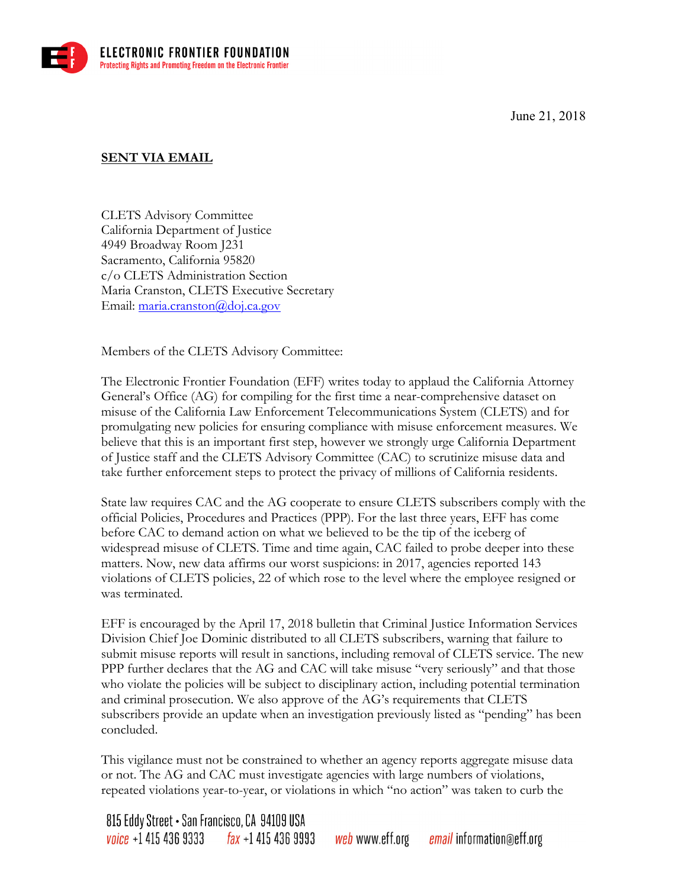June 21, 2018



## **SENT VIA EMAIL**

c/o CLETS Administration Section CLETS Advisory Committee California Department of Justice 4949 Broadway Room J231 Sacramento, California 95820 Maria Cranston, CLETS Executive Secretary Email: maria.cranston@doj.ca.gov

Members of the CLETS Advisory Committee:

The Electronic Frontier Foundation (EFF) writes today to applaud the California Attorney General's Office (AG) for compiling for the first time a near-comprehensive dataset on misuse of the California Law Enforcement Telecommunications System (CLETS) and for promulgating new policies for ensuring compliance with misuse enforcement measures. We believe that this is an important first step, however we strongly urge California Department of Justice staff and the CLETS Advisory Committee (CAC) to scrutinize misuse data and

 take further enforcement steps to protect the privacy of millions of California residents. State law requires CAC and the AG cooperate to ensure CLETS subscribers comply with the official Policies, Procedures and Practices (PPP). For the last three years, EFF has come before CAC to demand action on what we believed to be the tip of the iceberg of widespread misuse of CLETS. Time and time again, CAC failed to probe deeper into these matters. Now, new data affirms our worst suspicions: in 2017, agencies reported 143 violations of CLETS policies, 22 of which rose to the level where the employee resigned or

 who violate the policies will be subject to disciplinary action, including potential termination concluded. was terminated.<br>EFF is encouraged by the April 17, 2018 bulletin that Criminal Justice Information Services Division Chief Joe Dominic distributed to all CLETS subscribers, warning that failure to submit misuse reports will result in sanctions, including removal of CLETS service. The new PPP further declares that the AG and CAC will take misuse "very seriously" and that those and criminal prosecution. We also approve of the AG's requirements that CLETS subscribers provide an update when an investigation previously listed as "pending" has been

This vigilance must not be constrained to whether an agency reports aggregate misuse data or not. The AG and CAC must investigate agencies with large numbers of violations, repeated violations year-to-year, or violations in which "no action" was taken to curb the

815 Eddy Street • San Francisco, CA 94109 USA  $\frac{1}{2}$  fax +1 415 436 9993  $\emph{voice}$  +1 415 436 9333 *web* www.eff.org email information@eff.org